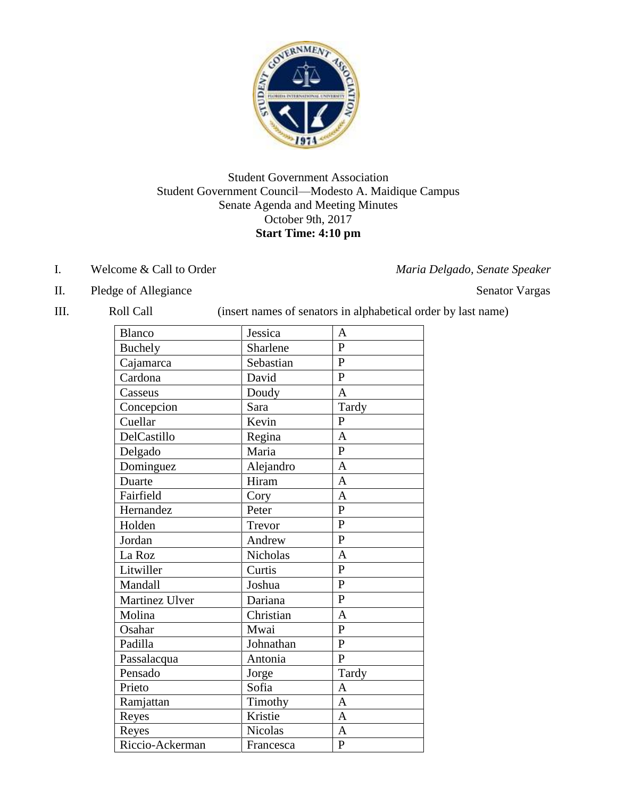

## Student Government Association Student Government Council—Modesto A. Maidique Campus Senate Agenda and Meeting Minutes October 9th, 2017 **Start Time: 4:10 pm**

I. Welcome & Call to Order *Maria Delgado, Senate Speaker*

II. Pledge of Allegiance Senator Vargas

III. Roll Call (insert names of senators in alphabetical order by last name)

| <b>Blanco</b>   | Jessica        | A              |
|-----------------|----------------|----------------|
| <b>Buchely</b>  | Sharlene       | $\mathbf{P}$   |
| Cajamarca       | Sebastian      | $\mathbf{P}$   |
| Cardona         | David          | $\overline{P}$ |
| Casseus         | Doudy          | $\overline{A}$ |
| Concepcion      | Sara           | Tardy          |
| Cuellar         | Kevin          | $\mathbf{P}$   |
| DelCastillo     | Regina         | $\overline{A}$ |
| Delgado         | Maria          | $\overline{P}$ |
| Dominguez       | Alejandro      | $\mathbf{A}$   |
| Duarte          | Hiram          | $\mathbf{A}$   |
| Fairfield       | Cory           | $\overline{A}$ |
| Hernandez       | Peter          | $\overline{P}$ |
| Holden          | Trevor         | $\mathbf{P}$   |
| Jordan          | Andrew         | $\mathbf{P}$   |
| La Roz          | Nicholas       | $\overline{A}$ |
| Litwiller       | Curtis         | $\overline{P}$ |
| Mandall         | Joshua         | $\mathbf{P}$   |
| Martinez Ulver  | Dariana        | $\overline{P}$ |
| Molina          | Christian      | $\mathbf{A}$   |
| Osahar          | Mwai           | $\overline{P}$ |
| Padilla         | Johnathan      | $\overline{P}$ |
| Passalacqua     | Antonia        | $\mathbf{P}$   |
| Pensado         | Jorge          | Tardy          |
| Prieto          | Sofia          | A              |
| Ramjattan       | Timothy        | $\overline{A}$ |
| Reyes           | Kristie        | $\mathbf{A}$   |
| Reyes           | <b>Nicolas</b> | $\overline{A}$ |
| Riccio-Ackerman | Francesca      | $\mathbf{P}$   |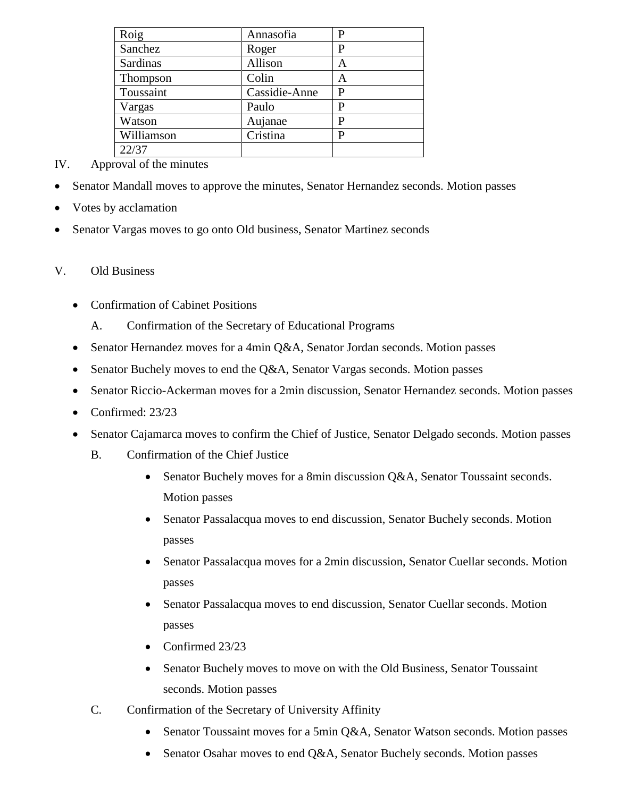| Roig       | Annasofia     | P |
|------------|---------------|---|
| Sanchez    | Roger         | P |
| Sardinas   | Allison       | Α |
| Thompson   | Colin         | А |
| Toussaint  | Cassidie-Anne | P |
| Vargas     | Paulo         | P |
| Watson     | Aujanae       | P |
| Williamson | Cristina      | P |
| 22/37      |               |   |

- IV. Approval of the minutes
- Senator Mandall moves to approve the minutes, Senator Hernandez seconds. Motion passes
- Votes by acclamation
- Senator Vargas moves to go onto Old business, Senator Martinez seconds

## V. Old Business

- Confirmation of Cabinet Positions
	- A. Confirmation of the Secretary of Educational Programs
- Senator Hernandez moves for a 4min Q&A, Senator Jordan seconds. Motion passes
- Senator Buchely moves to end the Q&A, Senator Vargas seconds. Motion passes
- Senator Riccio-Ackerman moves for a 2min discussion, Senator Hernandez seconds. Motion passes
- Confirmed: 23/23
- Senator Cajamarca moves to confirm the Chief of Justice, Senator Delgado seconds. Motion passes
	- B. Confirmation of the Chief Justice
		- Senator Buchely moves for a 8min discussion Q&A, Senator Toussaint seconds. Motion passes
		- Senator Passalacqua moves to end discussion, Senator Buchely seconds. Motion passes
		- Senator Passalacqua moves for a 2min discussion, Senator Cuellar seconds. Motion passes
		- Senator Passalacqua moves to end discussion, Senator Cuellar seconds. Motion passes
		- Confirmed 23/23
		- Senator Buchely moves to move on with the Old Business, Senator Toussaint seconds. Motion passes
	- C. Confirmation of the Secretary of University Affinity
		- Senator Toussaint moves for a 5min Q&A, Senator Watson seconds. Motion passes
		- Senator Osahar moves to end Q&A, Senator Buchely seconds. Motion passes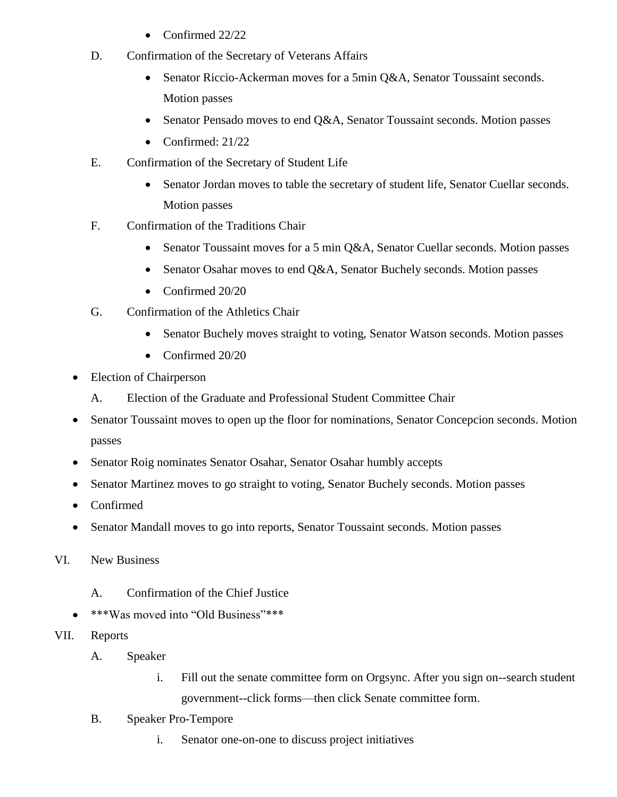- Confirmed 22/22
- D. Confirmation of the Secretary of Veterans Affairs
	- Senator Riccio-Ackerman moves for a 5min Q&A, Senator Toussaint seconds. Motion passes
	- Senator Pensado moves to end Q&A, Senator Toussaint seconds. Motion passes
	- Confirmed:  $21/22$
- E. Confirmation of the Secretary of Student Life
	- Senator Jordan moves to table the secretary of student life, Senator Cuellar seconds. Motion passes
- F. Confirmation of the Traditions Chair
	- Senator Toussaint moves for a 5 min Q&A, Senator Cuellar seconds. Motion passes
	- Senator Osahar moves to end Q&A, Senator Buchely seconds. Motion passes
	- Confirmed 20/20
- G. Confirmation of the Athletics Chair
	- Senator Buchely moves straight to voting, Senator Watson seconds. Motion passes
	- Confirmed 20/20
- Election of Chairperson
	- A. Election of the Graduate and Professional Student Committee Chair
- Senator Toussaint moves to open up the floor for nominations, Senator Concepcion seconds. Motion passes
- Senator Roig nominates Senator Osahar, Senator Osahar humbly accepts
- Senator Martinez moves to go straight to voting, Senator Buchely seconds. Motion passes
- Confirmed
- Senator Mandall moves to go into reports, Senator Toussaint seconds. Motion passes
- VI. New Business
	- A. Confirmation of the Chief Justice
	- \*\*\*Was moved into "Old Business"\*\*\*
- VII. Reports
	- A. Speaker
		- i. Fill out the senate committee form on Orgsync. After you sign on--search student government--click forms—then click Senate committee form.
	- B. Speaker Pro-Tempore
		- i. Senator one-on-one to discuss project initiatives